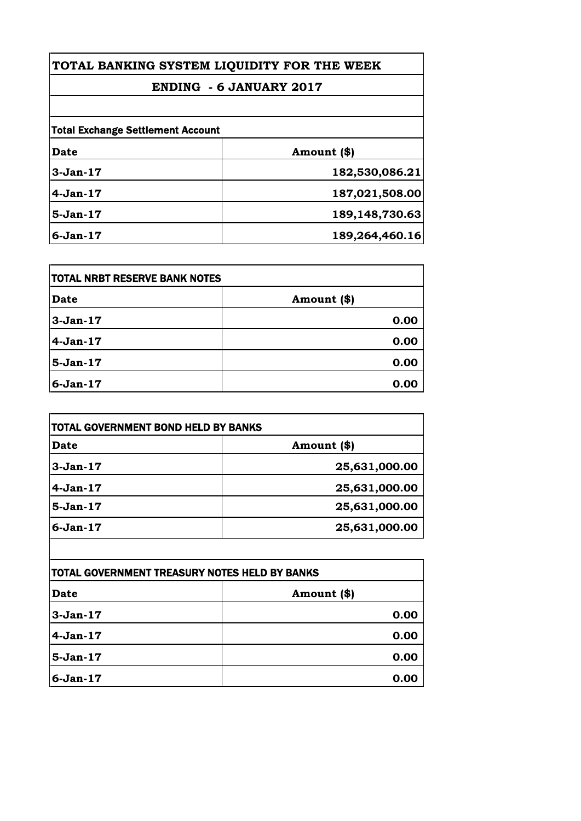# **ENDING - 6 JANUARY 2017**

| Date       | Amount (\$)       |
|------------|-------------------|
|            |                   |
| $3-Jan-17$ | 182,530,086.21    |
| $4-Jan-17$ | 187,021,508.00    |
| $5-Jan-17$ | 189, 148, 730. 63 |
| $6-Jan-17$ | 189,264,460.16    |

| <b>ITOTAL NRBT RESERVE BANK NOTES</b> |             |
|---------------------------------------|-------------|
| Date                                  | Amount (\$) |
| $3-Jan-17$                            | 0.00        |
| $4-Jan-17$                            | 0.00        |
| $5-Jan-17$                            | 0.00        |
| $6-Jan-17$                            | 0.00        |

| TOTAL GOVERNMENT BOND HELD BY BANKS |               |  |
|-------------------------------------|---------------|--|
| <b>Date</b>                         | Amount (\$)   |  |
| $3-Jan-17$                          | 25,631,000.00 |  |
| $4-Jan-17$                          | 25,631,000.00 |  |
| $5-Jan-17$                          | 25,631,000.00 |  |
| $6-Jan-17$                          | 25,631,000.00 |  |

| TOTAL GOVERNMENT TREASURY NOTES HELD BY BANKS |             |
|-----------------------------------------------|-------------|
| <b>Date</b>                                   | Amount (\$) |
| $3-Jan-17$                                    | 0.00        |
| $4-Jan-17$                                    | 0.00        |
| $5-Jan-17$                                    | 0.00        |
| $6-Jan-17$                                    | 0.00        |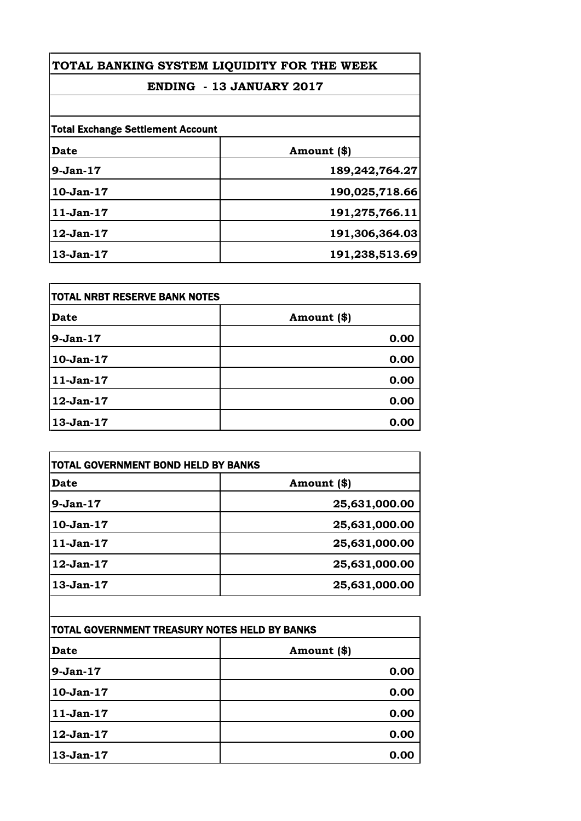# **ENDING - 13 JANUARY 2017**

| <b>Total Exchange Settlement Account</b> |                |
|------------------------------------------|----------------|
| <b>Date</b>                              | Amount (\$)    |
| $9-Jan-17$                               | 189,242,764.27 |
| $10-Jan-17$                              | 190,025,718.66 |
| $11-Jan-17$                              | 191,275,766.11 |
| $12-Jan-17$                              | 191,306,364.03 |
| $13-Jan-17$                              | 191,238,513.69 |

| <b>TOTAL NRBT RESERVE BANK NOTES</b> |             |
|--------------------------------------|-------------|
| Date                                 | Amount (\$) |
| $9-Jan-17$                           | 0.00        |
| $10-Jan-17$                          | 0.00        |
| $11-Jan-17$                          | 0.00        |
| 12-Jan-17                            | 0.00        |
| 13-Jan-17                            | 0.00        |

| Date        | Amount (\$)   |
|-------------|---------------|
| $9-Jan-17$  | 25,631,000.00 |
| $10-Jan-17$ | 25,631,000.00 |
| $11-Jan-17$ | 25,631,000.00 |
| 12-Jan-17   | 25,631,000.00 |
| $13-Jan-17$ | 25,631,000.00 |
|             |               |

| TOTAL GOVERNMENT TREASURY NOTES HELD BY BANKS |             |
|-----------------------------------------------|-------------|
| Date                                          | Amount (\$) |
| $9-Jan-17$                                    | 0.00        |
| $10-Jan-17$                                   | 0.00        |
| $11-Jan-17$                                   | 0.00        |
| 12-Jan-17                                     | 0.00        |
| 13-Jan-17                                     | 0.00        |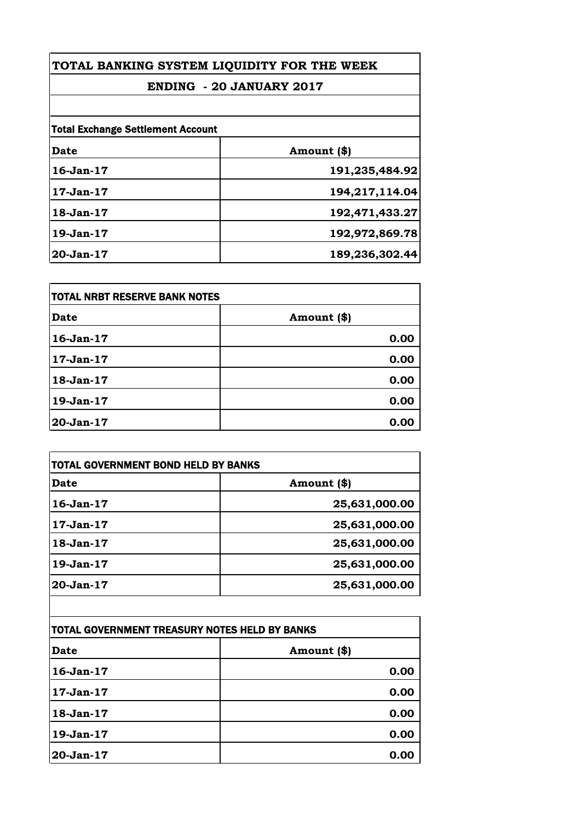# **ENDING - 20 JANUARY 2017**

| <b>Total Exchange Settlement Account</b> |                |
|------------------------------------------|----------------|
| <b>Date</b>                              | Amount (\$)    |
| $16$ -Jan- $17$                          | 191,235,484.92 |
| 17-Jan-17                                | 194,217,114.04 |
| 18-Jan-17                                | 192,471,433.27 |
| 19-Jan-17                                | 192,972,869.78 |
| $20 - Jan-17$                            | 189,236,302.44 |

| TOTAL NRBT RESERVE BANK NOTES |             |
|-------------------------------|-------------|
| <b>Date</b>                   | Amount (\$) |
| 16-Jan-17                     | 0.00        |
| $17-Jan-17$                   | 0.00        |
| 18-Jan-17                     | 0.00        |
| 19-Jan-17                     | 0.00        |
| 20-Jan-17                     | 0.00        |

| <b>Date</b>     | Amount (\$)   |
|-----------------|---------------|
| $16 - Jan - 17$ | 25,631,000.00 |
| $17-Jan-17$     | 25,631,000.00 |
| $18-Jan-17$     | 25,631,000.00 |
| 19-Jan-17       | 25,631,000.00 |
| 20-Jan-17       | 25,631,000.00 |

| TOTAL GOVERNMENT TREASURY NOTES HELD BY BANKS |             |
|-----------------------------------------------|-------------|
| <b>Date</b>                                   | Amount (\$) |
| 16-Jan-17                                     | 0.00        |
| $17-Jan-17$                                   | 0.00        |
| 18-Jan-17                                     | 0.00        |
| 19-Jan-17                                     | 0.00        |
| 20-Jan-17                                     | 0.00        |